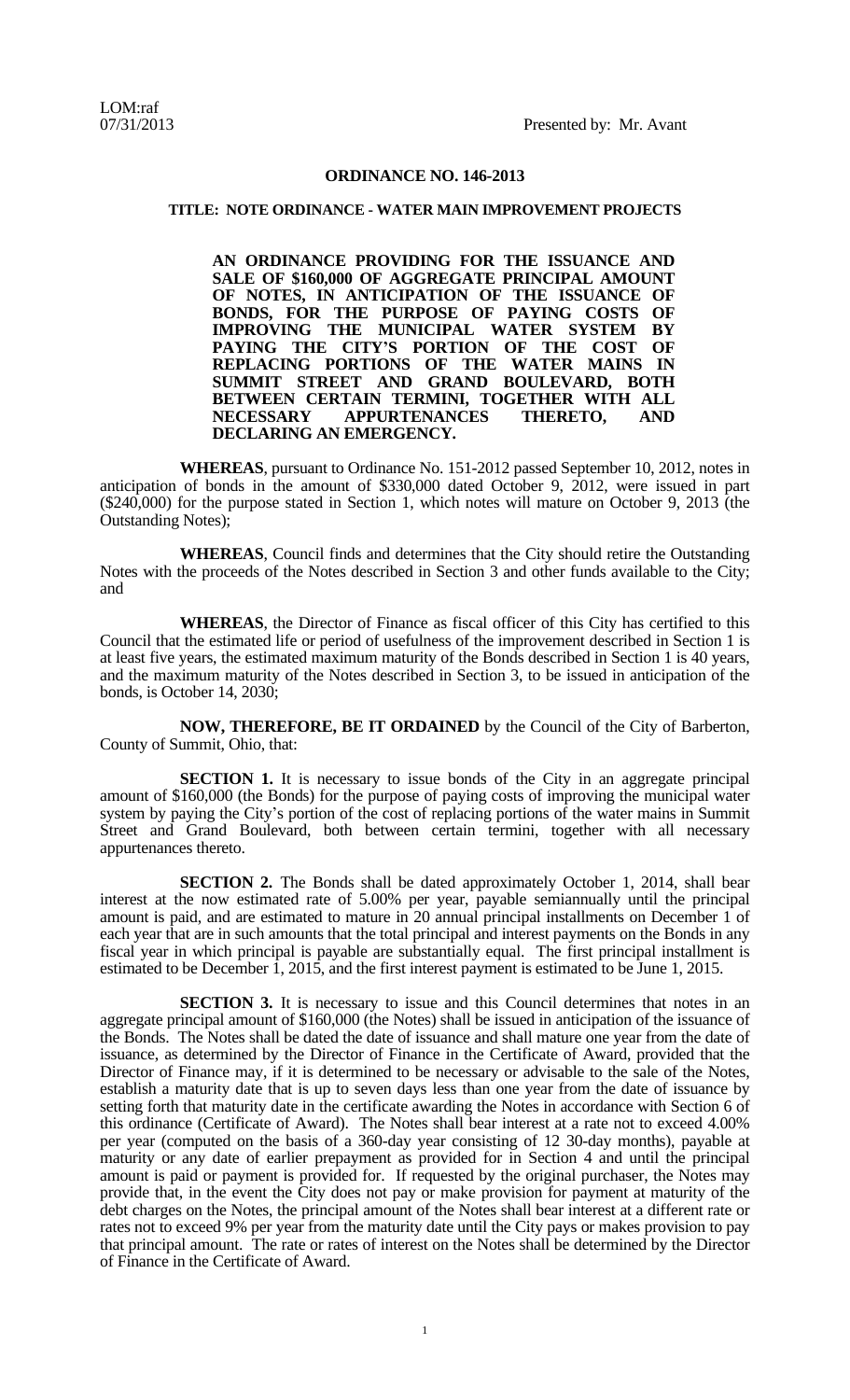## **ORDINANCE NO. 146-2013**

## **TITLE: NOTE ORDINANCE - WATER MAIN IMPROVEMENT PROJECTS**

**AN ORDINANCE PROVIDING FOR THE ISSUANCE AND SALE OF \$160,000 OF AGGREGATE PRINCIPAL AMOUNT OF NOTES, IN ANTICIPATION OF THE ISSUANCE OF BONDS, FOR THE PURPOSE OF PAYING COSTS OF IMPROVING THE MUNICIPAL WATER SYSTEM BY PAYING THE CITY'S PORTION OF THE COST OF REPLACING PORTIONS OF THE WATER MAINS IN SUMMIT STREET AND GRAND BOULEVARD, BOTH BETWEEN CERTAIN TERMINI, TOGETHER WITH ALL**  $AP$ **PURTENANCES DECLARING AN EMERGENCY.**

**WHEREAS**, pursuant to Ordinance No. 151-2012 passed September 10, 2012, notes in anticipation of bonds in the amount of \$330,000 dated October 9, 2012, were issued in part (\$240,000) for the purpose stated in Section 1, which notes will mature on October 9, 2013 (the Outstanding Notes);

**WHEREAS**, Council finds and determines that the City should retire the Outstanding Notes with the proceeds of the Notes described in Section 3 and other funds available to the City; and

**WHEREAS**, the Director of Finance as fiscal officer of this City has certified to this Council that the estimated life or period of usefulness of the improvement described in Section 1 is at least five years, the estimated maximum maturity of the Bonds described in Section 1 is 40 years, and the maximum maturity of the Notes described in Section 3, to be issued in anticipation of the bonds, is October 14, 2030;

**NOW, THEREFORE, BE IT ORDAINED** by the Council of the City of Barberton, County of Summit, Ohio, that:

**SECTION** 1. It is necessary to issue bonds of the City in an aggregate principal amount of \$160,000 (the Bonds) for the purpose of paying costs of improving the municipal water system by paying the City's portion of the cost of replacing portions of the water mains in Summit Street and Grand Boulevard, both between certain termini, together with all necessary appurtenances thereto.

**SECTION 2.** The Bonds shall be dated approximately October 1, 2014, shall bear interest at the now estimated rate of 5.00% per year, payable semiannually until the principal amount is paid, and are estimated to mature in 20 annual principal installments on December 1 of each year that are in such amounts that the total principal and interest payments on the Bonds in any fiscal year in which principal is payable are substantially equal. The first principal installment is estimated to be December 1, 2015, and the first interest payment is estimated to be June 1, 2015.

**SECTION 3.** It is necessary to issue and this Council determines that notes in an aggregate principal amount of \$160,000 (the Notes) shall be issued in anticipation of the issuance of the Bonds. The Notes shall be dated the date of issuance and shall mature one year from the date of issuance, as determined by the Director of Finance in the Certificate of Award, provided that the Director of Finance may, if it is determined to be necessary or advisable to the sale of the Notes, establish a maturity date that is up to seven days less than one year from the date of issuance by setting forth that maturity date in the certificate awarding the Notes in accordance with Section 6 of this ordinance (Certificate of Award). The Notes shall bear interest at a rate not to exceed 4.00% per year (computed on the basis of a 360-day year consisting of 12 30-day months), payable at maturity or any date of earlier prepayment as provided for in Section 4 and until the principal amount is paid or payment is provided for. If requested by the original purchaser, the Notes may provide that, in the event the City does not pay or make provision for payment at maturity of the debt charges on the Notes, the principal amount of the Notes shall bear interest at a different rate or rates not to exceed 9% per year from the maturity date until the City pays or makes provision to pay that principal amount. The rate or rates of interest on the Notes shall be determined by the Director of Finance in the Certificate of Award.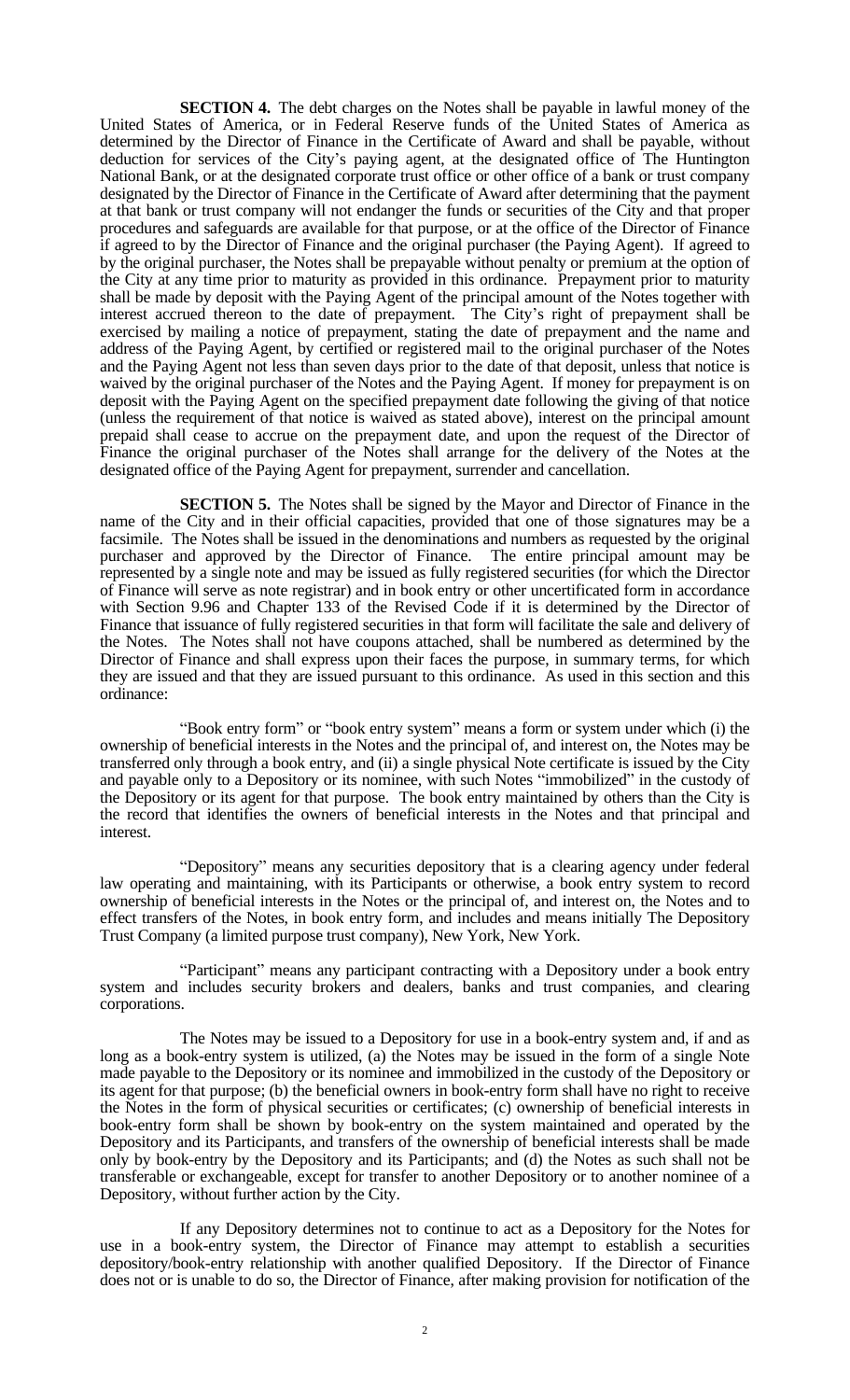**SECTION 4.** The debt charges on the Notes shall be payable in lawful money of the United States of America, or in Federal Reserve funds of the United States of America as determined by the Director of Finance in the Certificate of Award and shall be payable, without deduction for services of the City's paying agent, at the designated office of The Huntington National Bank, or at the designated corporate trust office or other office of a bank or trust company designated by the Director of Finance in the Certificate of Award after determining that the payment at that bank or trust company will not endanger the funds or securities of the City and that proper procedures and safeguards are available for that purpose, or at the office of the Director of Finance if agreed to by the Director of Finance and the original purchaser (the Paying Agent). If agreed to by the original purchaser, the Notes shall be prepayable without penalty or premium at the option of the City at any time prior to maturity as provided in this ordinance. Prepayment prior to maturity shall be made by deposit with the Paying Agent of the principal amount of the Notes together with interest accrued thereon to the date of prepayment. The City's right of prepayment shall be exercised by mailing a notice of prepayment, stating the date of prepayment and the name and address of the Paying Agent, by certified or registered mail to the original purchaser of the Notes and the Paying Agent not less than seven days prior to the date of that deposit, unless that notice is waived by the original purchaser of the Notes and the Paying Agent. If money for prepayment is on deposit with the Paying Agent on the specified prepayment date following the giving of that notice (unless the requirement of that notice is waived as stated above), interest on the principal amount prepaid shall cease to accrue on the prepayment date, and upon the request of the Director of Finance the original purchaser of the Notes shall arrange for the delivery of the Notes at the designated office of the Paying Agent for prepayment, surrender and cancellation.

**SECTION 5.** The Notes shall be signed by the Mayor and Director of Finance in the name of the City and in their official capacities, provided that one of those signatures may be a facsimile. The Notes shall be issued in the denominations and numbers as requested by the original purchaser and approved by the Director of Finance. The entire principal amount may be represented by a single note and may be issued as fully registered securities (for which the Director of Finance will serve as note registrar) and in book entry or other uncertificated form in accordance with Section 9.96 and Chapter 133 of the Revised Code if it is determined by the Director of Finance that issuance of fully registered securities in that form will facilitate the sale and delivery of the Notes. The Notes shall not have coupons attached, shall be numbered as determined by the Director of Finance and shall express upon their faces the purpose, in summary terms, for which they are issued and that they are issued pursuant to this ordinance. As used in this section and this ordinance:

"Book entry form" or "book entry system" means a form or system under which (i) the ownership of beneficial interests in the Notes and the principal of, and interest on, the Notes may be transferred only through a book entry, and (ii) a single physical Note certificate is issued by the City and payable only to a Depository or its nominee, with such Notes "immobilized" in the custody of the Depository or its agent for that purpose. The book entry maintained by others than the City is the record that identifies the owners of beneficial interests in the Notes and that principal and interest.

"Depository" means any securities depository that is a clearing agency under federal law operating and maintaining, with its Participants or otherwise, a book entry system to record ownership of beneficial interests in the Notes or the principal of, and interest on, the Notes and to effect transfers of the Notes, in book entry form, and includes and means initially The Depository Trust Company (a limited purpose trust company), New York, New York.

"Participant" means any participant contracting with a Depository under a book entry system and includes security brokers and dealers, banks and trust companies, and clearing corporations.

The Notes may be issued to a Depository for use in a book-entry system and, if and as long as a book-entry system is utilized, (a) the Notes may be issued in the form of a single Note made payable to the Depository or its nominee and immobilized in the custody of the Depository or its agent for that purpose; (b) the beneficial owners in book-entry form shall have no right to receive the Notes in the form of physical securities or certificates; (c) ownership of beneficial interests in book-entry form shall be shown by book-entry on the system maintained and operated by the Depository and its Participants, and transfers of the ownership of beneficial interests shall be made only by book-entry by the Depository and its Participants; and (d) the Notes as such shall not be transferable or exchangeable, except for transfer to another Depository or to another nominee of a Depository, without further action by the City.

If any Depository determines not to continue to act as a Depository for the Notes for use in a book-entry system, the Director of Finance may attempt to establish a securities depository/book-entry relationship with another qualified Depository. If the Director of Finance does not or is unable to do so, the Director of Finance, after making provision for notification of the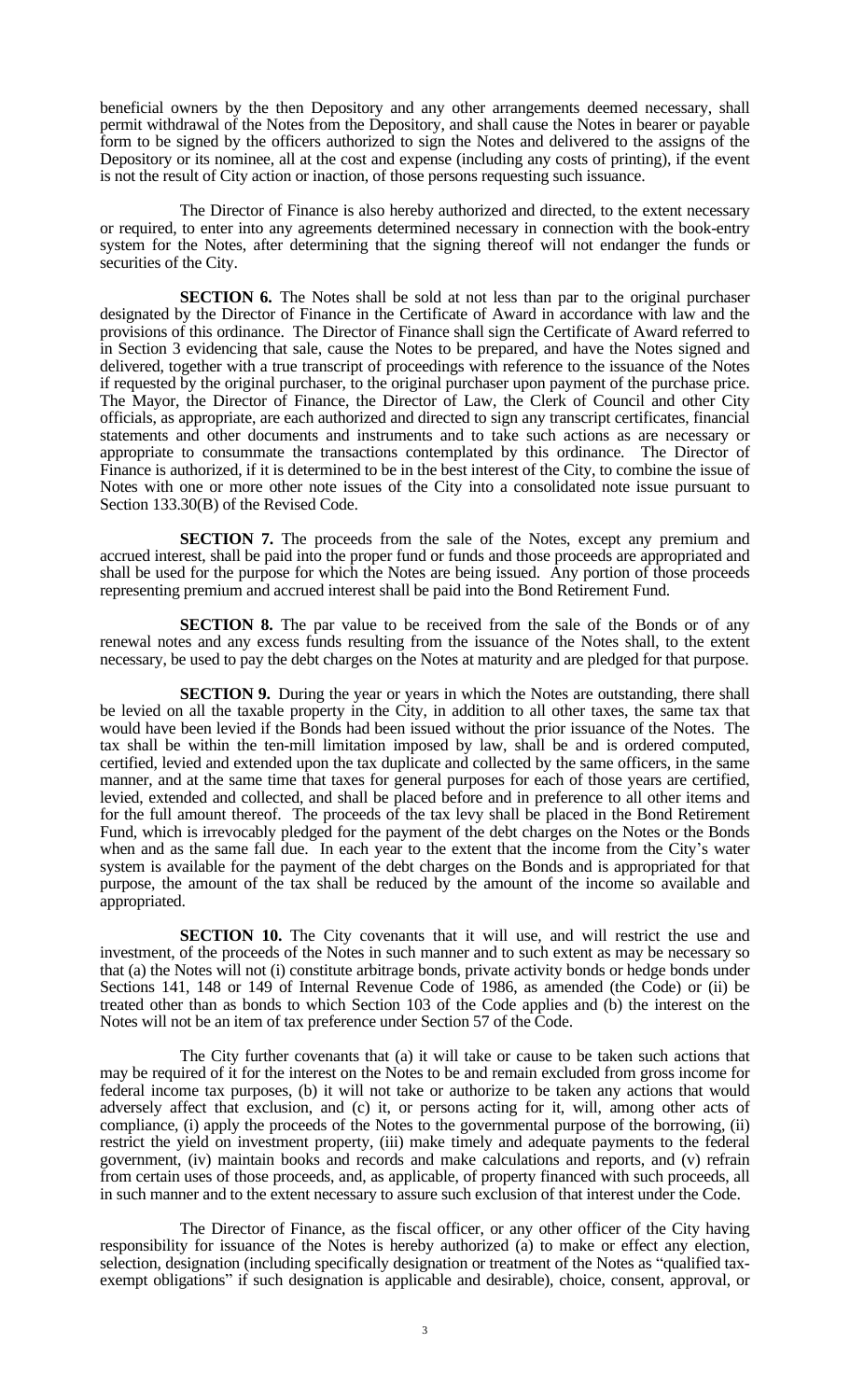beneficial owners by the then Depository and any other arrangements deemed necessary, shall permit withdrawal of the Notes from the Depository, and shall cause the Notes in bearer or payable form to be signed by the officers authorized to sign the Notes and delivered to the assigns of the Depository or its nominee, all at the cost and expense (including any costs of printing), if the event is not the result of City action or inaction, of those persons requesting such issuance.

The Director of Finance is also hereby authorized and directed, to the extent necessary or required, to enter into any agreements determined necessary in connection with the book-entry system for the Notes, after determining that the signing thereof will not endanger the funds or securities of the City.

**SECTION 6.** The Notes shall be sold at not less than par to the original purchaser designated by the Director of Finance in the Certificate of Award in accordance with law and the provisions of this ordinance. The Director of Finance shall sign the Certificate of Award referred to in Section 3 evidencing that sale, cause the Notes to be prepared, and have the Notes signed and delivered, together with a true transcript of proceedings with reference to the issuance of the Notes if requested by the original purchaser, to the original purchaser upon payment of the purchase price. The Mayor, the Director of Finance, the Director of Law, the Clerk of Council and other City officials, as appropriate, are each authorized and directed to sign any transcript certificates, financial statements and other documents and instruments and to take such actions as are necessary or appropriate to consummate the transactions contemplated by this ordinance. The Director of Finance is authorized, if it is determined to be in the best interest of the City, to combine the issue of Notes with one or more other note issues of the City into a consolidated note issue pursuant to Section 133.30(B) of the Revised Code.

**SECTION 7.** The proceeds from the sale of the Notes, except any premium and accrued interest, shall be paid into the proper fund or funds and those proceeds are appropriated and shall be used for the purpose for which the Notes are being issued. Any portion of those proceeds representing premium and accrued interest shall be paid into the Bond Retirement Fund.

**SECTION 8.** The par value to be received from the sale of the Bonds or of any renewal notes and any excess funds resulting from the issuance of the Notes shall, to the extent necessary, be used to pay the debt charges on the Notes at maturity and are pledged for that purpose.

**SECTION 9.** During the year or years in which the Notes are outstanding, there shall be levied on all the taxable property in the City, in addition to all other taxes, the same tax that would have been levied if the Bonds had been issued without the prior issuance of the Notes. The tax shall be within the ten-mill limitation imposed by law, shall be and is ordered computed, certified, levied and extended upon the tax duplicate and collected by the same officers, in the same manner, and at the same time that taxes for general purposes for each of those years are certified, levied, extended and collected, and shall be placed before and in preference to all other items and for the full amount thereof. The proceeds of the tax levy shall be placed in the Bond Retirement Fund, which is irrevocably pledged for the payment of the debt charges on the Notes or the Bonds when and as the same fall due. In each year to the extent that the income from the City's water system is available for the payment of the debt charges on the Bonds and is appropriated for that purpose, the amount of the tax shall be reduced by the amount of the income so available and appropriated.

**SECTION 10.** The City covenants that it will use, and will restrict the use and investment, of the proceeds of the Notes in such manner and to such extent as may be necessary so that (a) the Notes will not (i) constitute arbitrage bonds, private activity bonds or hedge bonds under Sections 141, 148 or 149 of Internal Revenue Code of 1986, as amended (the Code) or (ii) be treated other than as bonds to which Section 103 of the Code applies and (b) the interest on the Notes will not be an item of tax preference under Section 57 of the Code.

The City further covenants that (a) it will take or cause to be taken such actions that may be required of it for the interest on the Notes to be and remain excluded from gross income for federal income tax purposes, (b) it will not take or authorize to be taken any actions that would adversely affect that exclusion, and (c) it, or persons acting for it, will, among other acts of compliance, (i) apply the proceeds of the Notes to the governmental purpose of the borrowing, (ii) restrict the yield on investment property, (iii) make timely and adequate payments to the federal government, (iv) maintain books and records and make calculations and reports, and (v) refrain from certain uses of those proceeds, and, as applicable, of property financed with such proceeds, all in such manner and to the extent necessary to assure such exclusion of that interest under the Code.

The Director of Finance, as the fiscal officer, or any other officer of the City having responsibility for issuance of the Notes is hereby authorized (a) to make or effect any election, selection, designation (including specifically designation or treatment of the Notes as "qualified taxexempt obligations" if such designation is applicable and desirable), choice, consent, approval, or